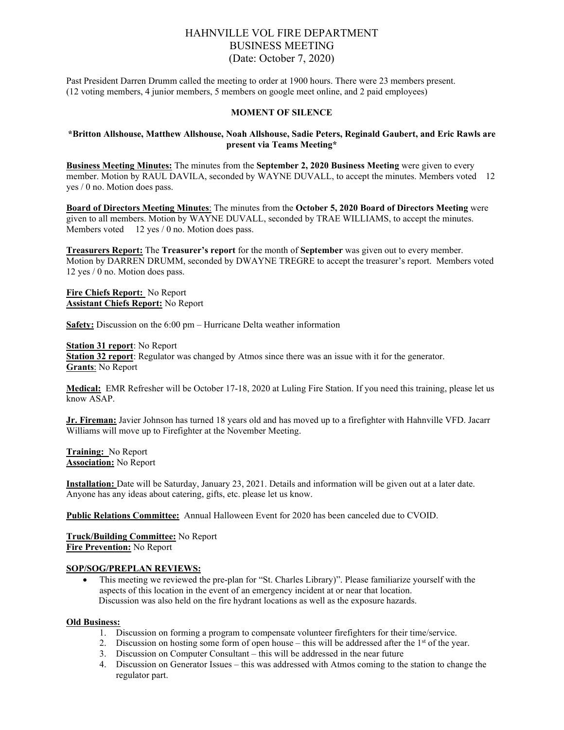# HAHNVILLE VOL FIRE DEPARTMENT BUSINESS MEETING (Date: October 7, 2020)

Past President Darren Drumm called the meeting to order at 1900 hours. There were 23 members present. (12 voting members, 4 junior members, 5 members on google meet online, and 2 paid employees)

#### **MOMENT OF SILENCE**

### **\*Britton Allshouse, Matthew Allshouse, Noah Allshouse, Sadie Peters, Reginald Gaubert, and Eric Rawls are present via Teams Meeting\***

**Business Meeting Minutes:** The minutes from the **September 2, 2020 Business Meeting** were given to every member. Motion by RAUL DAVILA, seconded by WAYNE DUVALL, to accept the minutes. Members voted 12 yes / 0 no. Motion does pass.

**Board of Directors Meeting Minutes**: The minutes from the **October 5, 2020 Board of Directors Meeting** were given to all members. Motion by WAYNE DUVALL, seconded by TRAE WILLIAMS, to accept the minutes. Members voted 12 yes / 0 no. Motion does pass.

**Treasurers Report:** The **Treasurer's report** for the month of **September** was given out to every member. Motion by DARREN DRUMM, seconded by DWAYNE TREGRE to accept the treasurer's report. Members voted 12 yes / 0 no. Motion does pass.

**Fire Chiefs Report:** No Report **Assistant Chiefs Report:** No Report

**Safety:** Discussion on the 6:00 pm – Hurricane Delta weather information

**Station 31 report**: No Report

**Station 32 report**: Regulator was changed by Atmos since there was an issue with it for the generator. **Grants**: No Report

**Medical:** EMR Refresher will be October 17-18, 2020 at Luling Fire Station. If you need this training, please let us know ASAP.

**Jr. Fireman:** Javier Johnson has turned 18 years old and has moved up to a firefighter with Hahnville VFD. Jacarr Williams will move up to Firefighter at the November Meeting.

**Training:** No Report **Association:** No Report

**Installation:** Date will be Saturday, January 23, 2021. Details and information will be given out at a later date. Anyone has any ideas about catering, gifts, etc. please let us know.

**Public Relations Committee:** Annual Halloween Event for 2020 has been canceled due to CVOID.

**Truck/Building Committee:** No Report **Fire Prevention:** No Report

#### **SOP/SOG/PREPLAN REVIEWS:**

• This meeting we reviewed the pre-plan for "St. Charles Library)". Please familiarize yourself with the aspects of this location in the event of an emergency incident at or near that location. Discussion was also held on the fire hydrant locations as well as the exposure hazards.

#### **Old Business:**

- 1. Discussion on forming a program to compensate volunteer firefighters for their time/service.
- 2. Discussion on hosting some form of open house this will be addressed after the  $1<sup>st</sup>$  of the year.
- 3. Discussion on Computer Consultant this will be addressed in the near future
- 4. Discussion on Generator Issues this was addressed with Atmos coming to the station to change the regulator part.